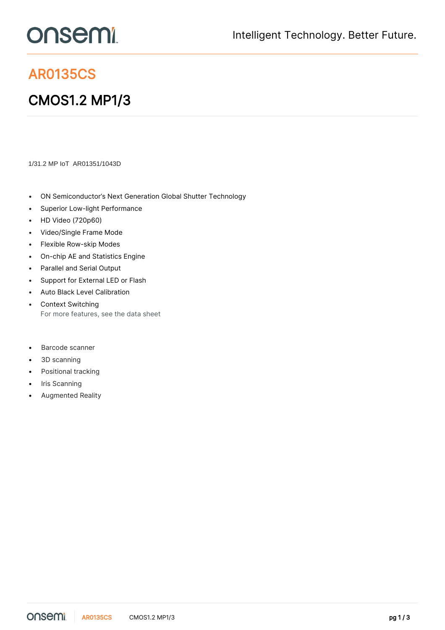## onsemi

## AR0135CS

## CMOS1.2 MP1/3

1/31.2 MP IoT AR01351/1043D

- ON Semiconductor's Next Generation Global Shutter Technology
- Superior Low-light Performance
- HD Video (720p60)
- Video/Single Frame Mode
- Flexible Row-skip Modes
- On-chip AE and Statistics Engine
- Parallel and Serial Output
- Support for External LED or Flash
- Auto Black Level Calibration
- Context Switching For more features, see the [data sheet](https://www.onsemi.jp/PowerSolutions/product.do?id=AR0135CS)
- Barcode scanner
- 3D scanning
- Positional tracking
- Iris Scanning
- Augmented Reality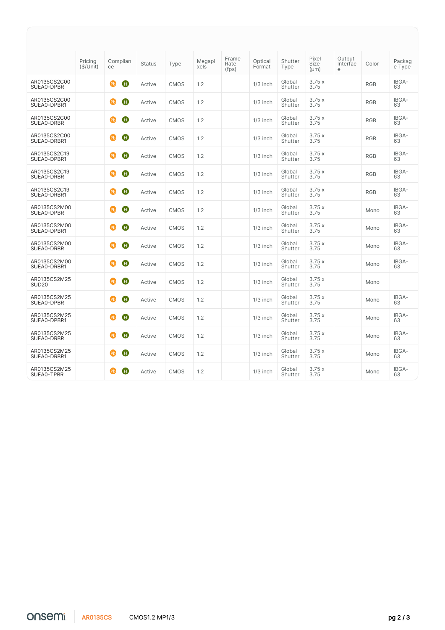|                                   | Pricing<br>(\$/Unit) | Complian<br>ce           | <b>Status</b> | Type        | Megapi<br>xels | Frame<br>Rate<br>(fps) | Optical<br>Format | Shutter<br>Type   | Pixel<br>Size<br>$(\mu m)$ | Output<br>Interfac<br>e | Color      | Packag<br>e Type |
|-----------------------------------|----------------------|--------------------------|---------------|-------------|----------------|------------------------|-------------------|-------------------|----------------------------|-------------------------|------------|------------------|
| AR0135CS2C00<br>SUEA0-DPBR        |                      | Ð<br>(Pb)                | Active        | <b>CMOS</b> | 1.2            |                        | $1/3$ inch        | Global<br>Shutter | 3.75x<br>3.75              |                         | <b>RGB</b> | IBGA-<br>63      |
| AR0135CS2C00<br>SUEA0-DPBR1       |                      | Ð<br>(Pb)                | Active        | <b>CMOS</b> | 1.2            |                        | $1/3$ inch        | Global<br>Shutter | 3.75x<br>3.75              |                         | <b>RGB</b> | IBGA-<br>63      |
| AR0135CS2C00<br>SUEA0-DRBR        |                      | œЬ<br>$\mathbf \Theta$   | Active        | <b>CMOS</b> | 1.2            |                        | $1/3$ inch        | Global<br>Shutter | 3.75x<br>3.75              |                         | <b>RGB</b> | IBGA-<br>63      |
| AR0135CS2C00<br>SUEA0-DRBR1       |                      | ை<br>$\mathbf \Theta$    | Active        | <b>CMOS</b> | 1.2            |                        | $1/3$ inch        | Global<br>Shutter | 3.75x<br>3.75              |                         | <b>RGB</b> | IBGA-<br>63      |
| AR0135CS2C19<br>SUEA0-DPBR1       |                      | Ð<br>(Pb)                | Active        | <b>CMOS</b> | 1.2            |                        | $1/3$ inch        | Global<br>Shutter | 3.75x<br>3.75              |                         | <b>RGB</b> | IBGA-<br>63      |
| AR0135CS2C19<br>SUEA0-DRBR        |                      | $\mathbf \Theta$<br>(Pb) | Active        | <b>CMOS</b> | 1.2            |                        | $1/3$ inch        | Global<br>Shutter | 3.75x<br>3.75              |                         | <b>RGB</b> | IBGA-<br>63      |
| AR0135CS2C19<br>SUEA0-DRBR1       |                      | $\mathbf \Theta$<br>(Pb) | Active        | <b>CMOS</b> | 1.2            |                        | $1/3$ inch        | Global<br>Shutter | 3.75x<br>3.75              |                         | <b>RGB</b> | IBGA-<br>63      |
| AR0135CS2M00<br>SUEA0-DPBR        |                      | $\bf \bm \theta$<br>ை    | Active        | <b>CMOS</b> | 1.2            |                        | $1/3$ inch        | Global<br>Shutter | 3.75x<br>3.75              |                         | Mono       | IBGA-<br>63      |
| AR0135CS2M00<br>SUEA0-DPBR1       |                      | $\mathbf \Theta$<br>(Pb) | Active        | <b>CMOS</b> | 1.2            |                        | $1/3$ inch        | Global<br>Shutter | 3.75x<br>3.75              |                         | Mono       | IBGA-<br>63      |
| AR0135CS2M00<br>SUEA0-DRBR        |                      | 0<br>(Pb)                | Active        | <b>CMOS</b> | 1.2            |                        | $1/3$ inch        | Global<br>Shutter | 3.75x<br>3.75              |                         | Mono       | IBGA-<br>63      |
| AR0135CS2M00<br>SUEA0-DRBR1       |                      | Ð<br>(Pb)                | Active        | <b>CMOS</b> | 1.2            |                        | $1/3$ inch        | Global<br>Shutter | 3.75x<br>3.75              |                         | Mono       | IBGA-<br>63      |
| AR0135CS2M25<br>SUD <sub>20</sub> |                      | O<br>(Pb)                | Active        | <b>CMOS</b> | 1.2            |                        | $1/3$ inch        | Global<br>Shutter | 3.75x<br>3.75              |                         | Mono       |                  |
| AR0135CS2M25<br>SUEA0-DPBR        |                      | Ð<br>(Pb)                | Active        | <b>CMOS</b> | 1.2            |                        | $1/3$ inch        | Global<br>Shutter | 3.75x<br>3.75              |                         | Mono       | IBGA-<br>63      |
| AR0135CS2M25<br>SUEA0-DPBR1       |                      | œЬ<br>Ð                  | Active        | <b>CMOS</b> | 1.2            |                        | $1/3$ inch        | Global<br>Shutter | 3.75x<br>3.75              |                         | Mono       | IBGA-<br>63      |
| AR0135CS2M25<br>SUEA0-DRBR        |                      | $\mathbf{E}$<br>Ð        | Active        | <b>CMOS</b> | 1.2            |                        | $1/3$ inch        | Global<br>Shutter | 3.75x<br>3.75              |                         | Mono       | IBGA-<br>63      |
| AR0135CS2M25<br>SUEA0-DRBR1       |                      | Ð<br>(Pb)                | Active        | <b>CMOS</b> | 1.2            |                        | $1/3$ inch        | Global<br>Shutter | 3.75x<br>3.75              |                         | Mono       | IBGA-<br>63      |
| AR0135CS2M25<br>SUEA0-TPBR        |                      | 0<br>(Pb)                | Active        | <b>CMOS</b> | 1.2            |                        | $1/3$ inch        | Global<br>Shutter | 3.75x<br>3.75              |                         | Mono       | IBGA-<br>63      |